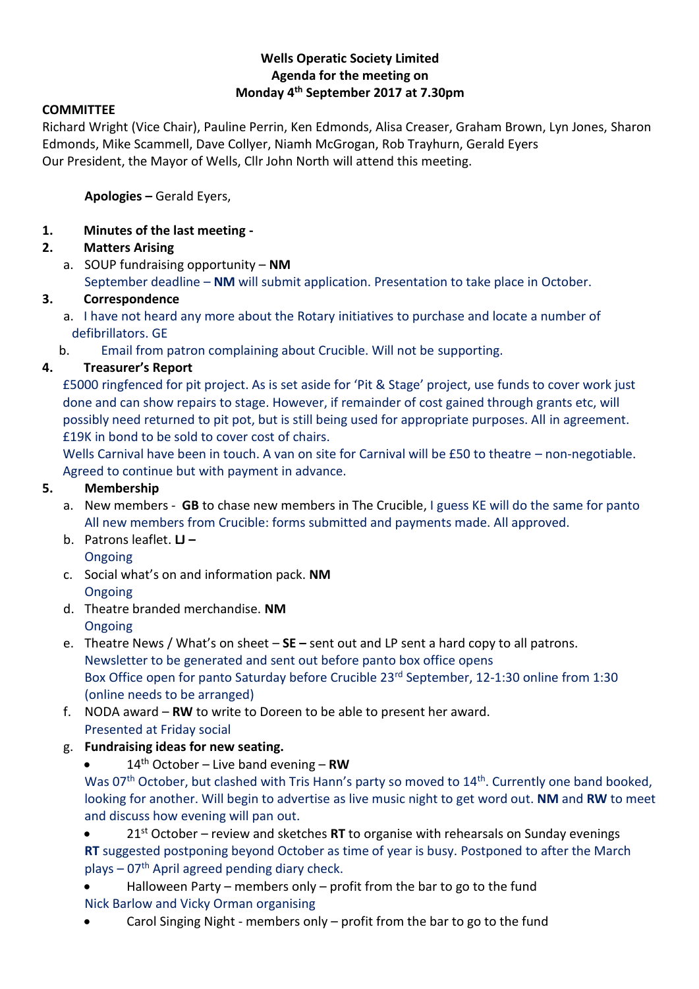# **Wells Operatic Society Limited Agenda for the meeting on Monday 4 th September 2017 at 7.30pm**

#### **COMMITTEE**

Richard Wright (Vice Chair), Pauline Perrin, Ken Edmonds, Alisa Creaser, Graham Brown, Lyn Jones, Sharon Edmonds, Mike Scammell, Dave Collyer, Niamh McGrogan, Rob Trayhurn, Gerald Eyers Our President, the Mayor of Wells, Cllr John North will attend this meeting.

**Apologies –** Gerald Eyers,

**1. Minutes of the last meeting -**

## **2. Matters Arising**

a. SOUP fundraising opportunity – **NM** September deadline – **NM** will submit application. Presentation to take place in October.

### **3. Correspondence**

- a. I have not heard any more about the Rotary initiatives to purchase and locate a number of defibrillators. GE
- b. Email from patron complaining about Crucible. Will not be supporting.

## **4. Treasurer's Report**

£5000 ringfenced for pit project. As is set aside for 'Pit & Stage' project, use funds to cover work just done and can show repairs to stage. However, if remainder of cost gained through grants etc, will possibly need returned to pit pot, but is still being used for appropriate purposes. All in agreement. £19K in bond to be sold to cover cost of chairs.

Wells Carnival have been in touch. A van on site for Carnival will be £50 to theatre – non-negotiable. Agreed to continue but with payment in advance.

#### **5. Membership**

- a. New members **GB** to chase new members in The Crucible, I guess KE will do the same for panto All new members from Crucible: forms submitted and payments made. All approved.
- b. Patrons leaflet. **LJ –** Ongoing
- c. Social what's on and information pack. **NM**
	- Ongoing
- d. Theatre branded merchandise. **NM Ongoing**
- e. Theatre News / What's on sheet **SE –** sent out and LP sent a hard copy to all patrons. Newsletter to be generated and sent out before panto box office opens Box Office open for panto Saturday before Crucible 23rd September, 12-1:30 online from 1:30 (online needs to be arranged)
- f. NODA award **RW** to write to Doreen to be able to present her award. Presented at Friday social
- g. **Fundraising ideas for new seating.**
	- 14th October Live band evening **RW**

Was 07<sup>th</sup> October, but clashed with Tris Hann's party so moved to 14<sup>th</sup>. Currently one band booked, looking for another. Will begin to advertise as live music night to get word out. **NM** and **RW** to meet and discuss how evening will pan out.

 21st October – review and sketches **RT** to organise with rehearsals on Sunday evenings **RT** suggested postponing beyond October as time of year is busy. Postponed to after the March plays  $-07<sup>th</sup>$  April agreed pending diary check.

 Halloween Party – members only – profit from the bar to go to the fund Nick Barlow and Vicky Orman organising

Carol Singing Night - members only – profit from the bar to go to the fund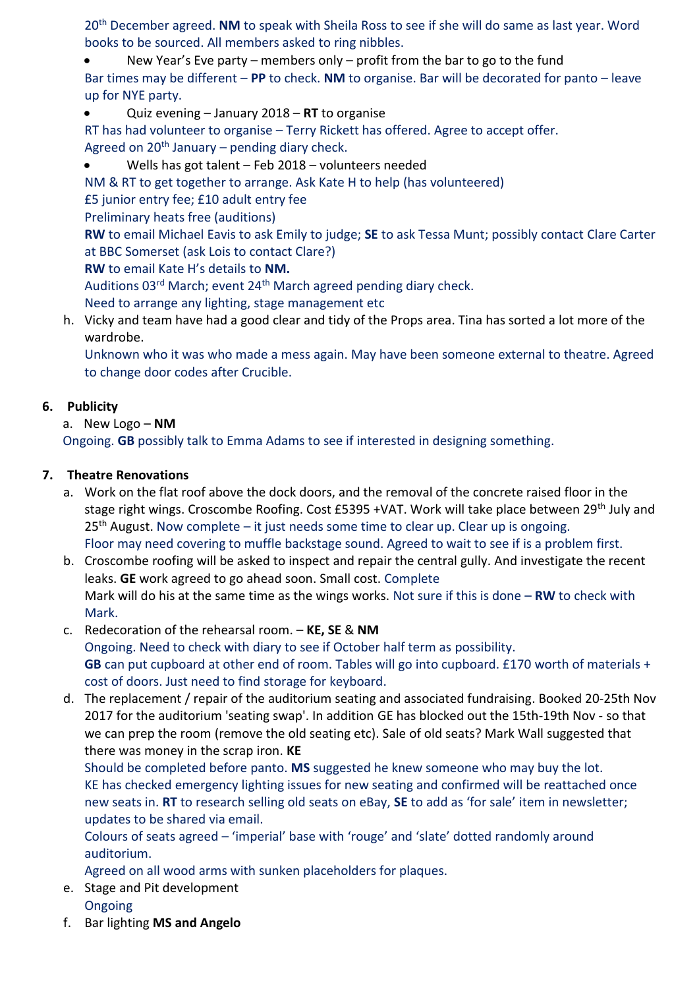20th December agreed. **NM** to speak with Sheila Ross to see if she will do same as last year. Word books to be sourced. All members asked to ring nibbles.

 New Year's Eve party – members only – profit from the bar to go to the fund Bar times may be different – **PP** to check. **NM** to organise. Bar will be decorated for panto – leave up for NYE party.

Quiz evening – January 2018 – **RT** to organise

RT has had volunteer to organise – Terry Rickett has offered. Agree to accept offer. Agreed on  $20<sup>th</sup>$  January – pending diary check.

Wells has got talent – Feb 2018 – volunteers needed

NM & RT to get together to arrange. Ask Kate H to help (has volunteered)

£5 junior entry fee; £10 adult entry fee

Preliminary heats free (auditions)

**RW** to email Michael Eavis to ask Emily to judge; **SE** to ask Tessa Munt; possibly contact Clare Carter at BBC Somerset (ask Lois to contact Clare?)

**RW** to email Kate H's details to **NM.**

Auditions 03<sup>rd</sup> March; event 24<sup>th</sup> March agreed pending diary check.

- Need to arrange any lighting, stage management etc
- h. Vicky and team have had a good clear and tidy of the Props area. Tina has sorted a lot more of the wardrobe.

Unknown who it was who made a mess again. May have been someone external to theatre. Agreed to change door codes after Crucible.

### **6. Publicity**

a. New Logo – **NM**

Ongoing. **GB** possibly talk to Emma Adams to see if interested in designing something.

### **7. Theatre Renovations**

- a. Work on the flat roof above the dock doors, and the removal of the concrete raised floor in the stage right wings. Croscombe Roofing. Cost £5395 +VAT. Work will take place between 29<sup>th</sup> July and  $25<sup>th</sup>$  August. Now complete – it just needs some time to clear up. Clear up is ongoing. Floor may need covering to muffle backstage sound. Agreed to wait to see if is a problem first.
- b. Croscombe roofing will be asked to inspect and repair the central gully. And investigate the recent leaks. **GE** work agreed to go ahead soon. Small cost. Complete Mark will do his at the same time as the wings works. Not sure if this is done – **RW** to check with Mark.
- c. Redecoration of the rehearsal room. **KE, SE** & **NM** Ongoing. Need to check with diary to see if October half term as possibility. **GB** can put cupboard at other end of room. Tables will go into cupboard. £170 worth of materials + cost of doors. Just need to find storage for keyboard.
- d. The replacement / repair of the auditorium seating and associated fundraising. Booked 20-25th Nov 2017 for the auditorium 'seating swap'. In addition GE has blocked out the 15th-19th Nov - so that we can prep the room (remove the old seating etc). Sale of old seats? Mark Wall suggested that there was money in the scrap iron. **KE**

Should be completed before panto. **MS** suggested he knew someone who may buy the lot. KE has checked emergency lighting issues for new seating and confirmed will be reattached once new seats in. **RT** to research selling old seats on eBay, **SE** to add as 'for sale' item in newsletter; updates to be shared via email.

Colours of seats agreed – 'imperial' base with 'rouge' and 'slate' dotted randomly around auditorium.

Agreed on all wood arms with sunken placeholders for plaques.

- e. Stage and Pit development Ongoing
- f. Bar lighting **MS and Angelo**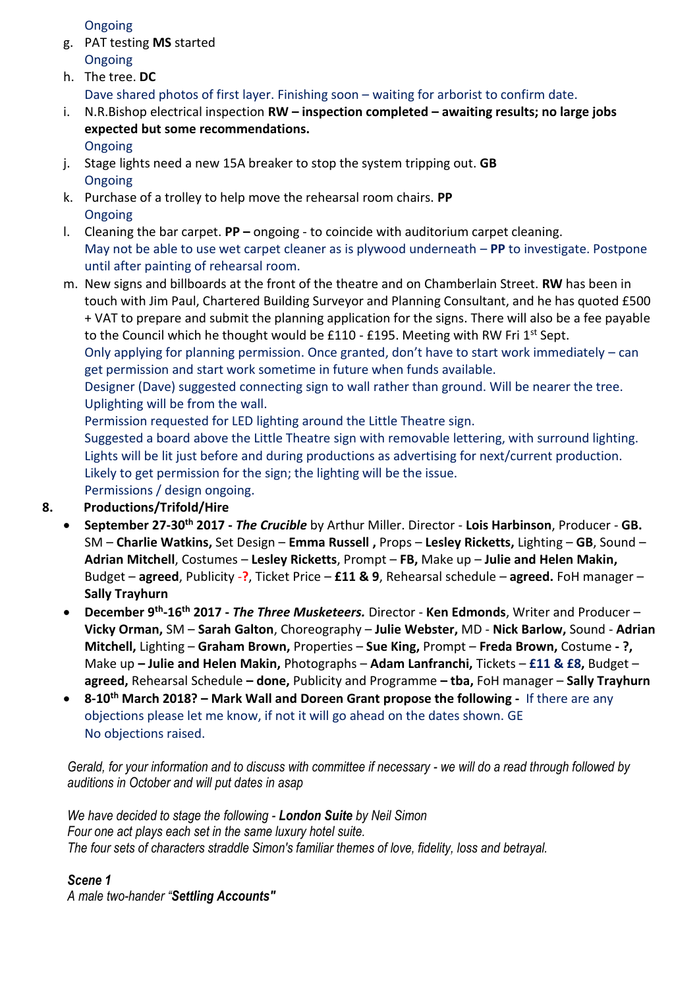Ongoing

- g. PAT testing **MS** started **Ongoing**
- h. The tree. **DC** Dave shared photos of first layer. Finishing soon – waiting for arborist to confirm date.
- i. N.R.Bishop electrical inspection **RW – inspection completed – awaiting results; no large jobs expected but some recommendations.** Ongoing
- j. Stage lights need a new 15A breaker to stop the system tripping out. **GB Ongoing**
- k. Purchase of a trolley to help move the rehearsal room chairs. **PP** Ongoing
- l. Cleaning the bar carpet. **PP –** ongoing to coincide with auditorium carpet cleaning. May not be able to use wet carpet cleaner as is plywood underneath – **PP** to investigate. Postpone until after painting of rehearsal room.
- m. New signs and billboards at the front of the theatre and on Chamberlain Street. **RW** has been in touch with Jim Paul, Chartered Building Surveyor and Planning Consultant, and he has quoted £500 + VAT to prepare and submit the planning application for the signs. There will also be a fee payable to the Council which he thought would be £110 - £195. Meeting with RW Fri  $1^{st}$  Sept.

Only applying for planning permission. Once granted, don't have to start work immediately – can get permission and start work sometime in future when funds available.

Designer (Dave) suggested connecting sign to wall rather than ground. Will be nearer the tree. Uplighting will be from the wall.

Permission requested for LED lighting around the Little Theatre sign.

Suggested a board above the Little Theatre sign with removable lettering, with surround lighting. Lights will be lit just before and during productions as advertising for next/current production. Likely to get permission for the sign; the lighting will be the issue.

Permissions / design ongoing.

# **8. Productions/Trifold/Hire**

- **September 27-30th 2017 -** *The Crucible* by Arthur Miller. Director **Lois Harbinson**, Producer **GB.**  SM – **Charlie Watkins,** Set Design – **Emma Russell ,** Props – **Lesley Ricketts,** Lighting – **GB**, Sound – **Adrian Mitchell**, Costumes – **Lesley Ricketts**, Prompt – **FB,** Make up – **Julie and Helen Makin,**  Budget – **agreed**, Publicity -**?**, Ticket Price – **£11 & 9**, Rehearsal schedule – **agreed.** FoH manager – **Sally Trayhurn**
- **December 9th -16th 2017 -** *The Three Musketeers.* Director **Ken Edmonds**, Writer and Producer **Vicky Orman,** SM – **Sarah Galton**, Choreography – **Julie Webster,** MD - **Nick Barlow,** Sound - **Adrian Mitchell,** Lighting – **Graham Brown,** Properties – **Sue King,** Prompt – **Freda Brown,** Costume **- ?,**  Make up **– Julie and Helen Makin,** Photographs – **Adam Lanfranchi,** Tickets – **£11 & £8,** Budget – **agreed,** Rehearsal Schedule **– done,** Publicity and Programme **– tba,** FoH manager – **Sally Trayhurn**
- **8-10th March 2018? – Mark Wall and Doreen Grant propose the following -** If there are any objections please let me know, if not it will go ahead on the dates shown. GE No objections raised.

*Gerald, for your information and to discuss with committee if necessary - we will do a read through followed by auditions in October and will put dates in asap*

*We have decided to stage the following - London Suite by Neil Simon Four one act plays each set in the same luxury hotel suite. The four sets of characters straddle Simon's familiar themes of love, fidelity, loss and betrayal.* 

## *Scene 1*

*A male two-hander "Settling Accounts"*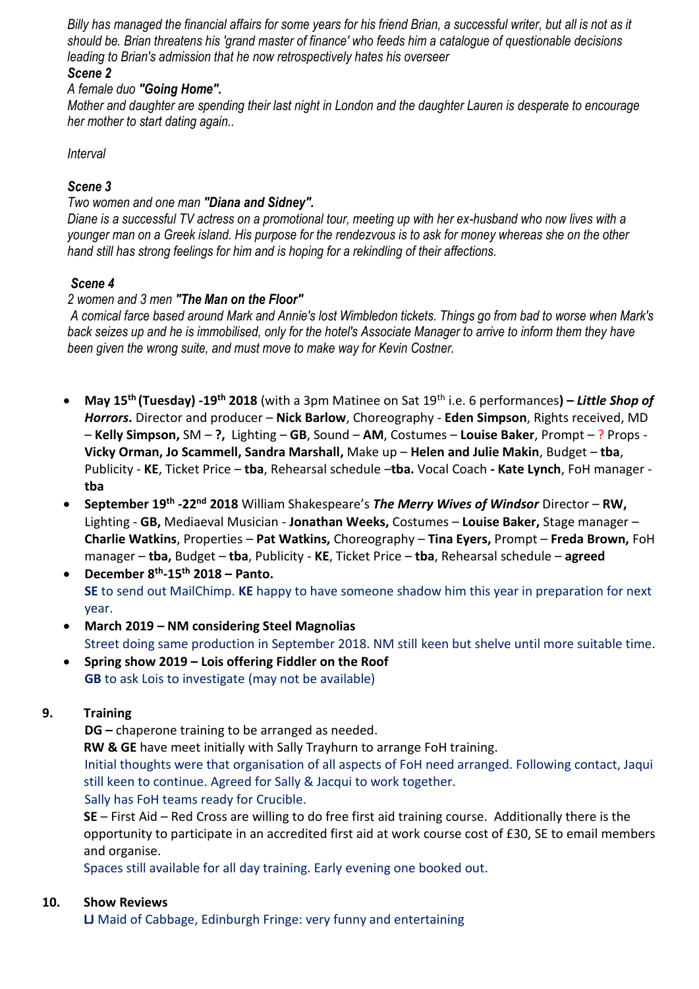*Billy has managed the financial affairs for some years for his friend Brian, a successful writer, but all is not as it should be. Brian threatens his 'grand master of finance' who feeds him a catalogue of questionable decisions leading to Brian's admission that he now retrospectively hates his overseer*

#### *Scene 2*

### *A female duo "Going Home".*

*Mother and daughter are spending their last night in London and the daughter Lauren is desperate to encourage her mother to start dating again..*

*Interval* 

### *Scene 3*

#### *Two women and one man "Diana and Sidney".*

*Diane is a successful TV actress on a promotional tour, meeting up with her ex-husband who now lives with a younger man on a Greek island. His purpose for the rendezvous is to ask for money whereas she on the other hand still has strong feelings for him and is hoping for a rekindling of their affections.* 

### *Scene 4*

### *2 women and 3 men "The Man on the Floor"*

*A comical farce based around Mark and Annie's lost Wimbledon tickets. Things go from bad to worse when Mark's back seizes up and he is immobilised, only for the hotel's Associate Manager to arrive to inform them they have been given the wrong suite, and must move to make way for Kevin Costner.*

- **May 15th (Tuesday) -19th 2018** (with a 3pm Matinee on Sat 19th i.e. 6 performances**) –** *Little Shop of Horrors***.** Director and producer – **Nick Barlow**, Choreography - **Eden Simpson**, Rights received, MD – **Kelly Simpson,** SM – **?,** Lighting – **GB**, Sound – **AM**, Costumes – **Louise Baker**, Prompt – ? Props - **Vicky Orman, Jo Scammell, Sandra Marshall,** Make up – **Helen and Julie Makin**, Budget – **tba**, Publicity - **KE**, Ticket Price – **tba**, Rehearsal schedule –**tba.** Vocal Coach **- Kate Lynch**, FoH manager **tba**
- **September 19th -22nd 2018** William Shakespeare's *The Merry Wives of Windsor* Director **RW,**  Lighting - **GB,** Mediaeval Musician - **Jonathan Weeks,** Costumes – **Louise Baker,** Stage manager – **Charlie Watkins**, Properties – **Pat Watkins,** Choreography – **Tina Eyers,** Prompt – **Freda Brown,** FoH manager – **tba,** Budget – **tba**, Publicity - **KE**, Ticket Price – **tba**, Rehearsal schedule – **agreed**
- **December 8th -15th 2018 – Panto. SE** to send out MailChimp. **KE** happy to have someone shadow him this year in preparation for next year.
- **March 2019 – NM considering Steel Magnolias** Street doing same production in September 2018. NM still keen but shelve until more suitable time.
- **Spring show 2019 – Lois offering Fiddler on the Roof GB** to ask Lois to investigate (may not be available)

## **9. Training**

**DG –** chaperone training to be arranged as needed.

**RW & GE** have meet initially with Sally Trayhurn to arrange FoH training.

Initial thoughts were that organisation of all aspects of FoH need arranged. Following contact, Jaqui still keen to continue. Agreed for Sally & Jacqui to work together. Sally has FoH teams ready for Crucible.

**SE** – First Aid – Red Cross are willing to do free first aid training course. Additionally there is the opportunity to participate in an accredited first aid at work course cost of £30, SE to email members and organise.

Spaces still available for all day training. Early evening one booked out.

#### **10. Show Reviews**

**LJ** Maid of Cabbage, Edinburgh Fringe: very funny and entertaining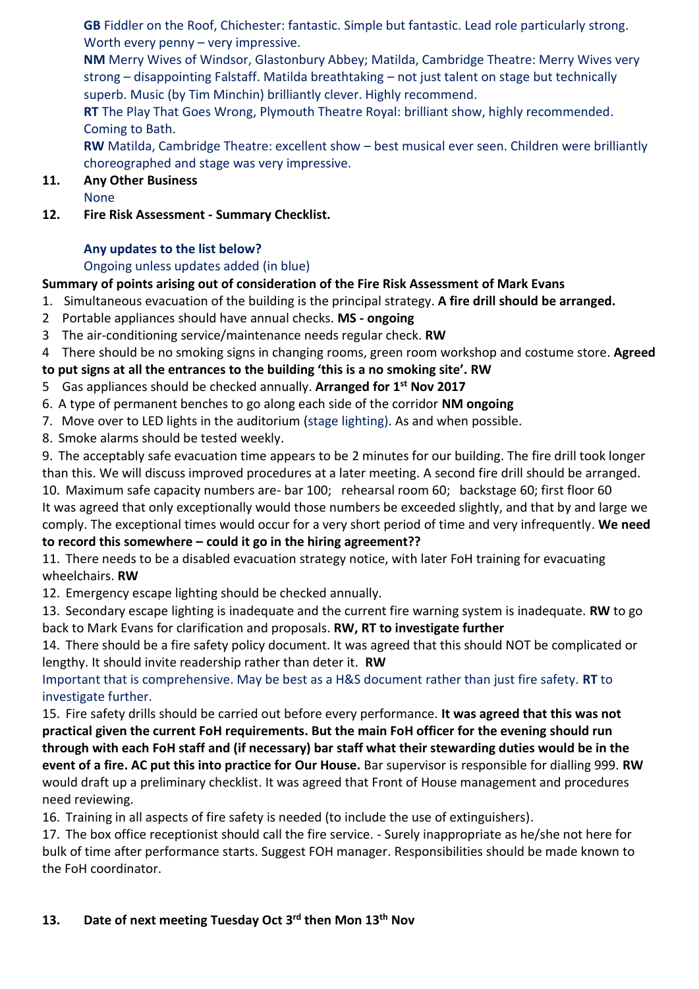**GB** Fiddler on the Roof, Chichester: fantastic. Simple but fantastic. Lead role particularly strong. Worth every penny – very impressive.

**NM** Merry Wives of Windsor, Glastonbury Abbey; Matilda, Cambridge Theatre: Merry Wives very strong – disappointing Falstaff. Matilda breathtaking – not just talent on stage but technically superb. Music (by Tim Minchin) brilliantly clever. Highly recommend.

**RT** The Play That Goes Wrong, Plymouth Theatre Royal: brilliant show, highly recommended. Coming to Bath.

**RW** Matilda, Cambridge Theatre: excellent show – best musical ever seen. Children were brilliantly choreographed and stage was very impressive.

# **11. Any Other Business**

None

**12. Fire Risk Assessment - Summary Checklist.**

# **Any updates to the list below?**

# Ongoing unless updates added (in blue)

# **Summary of points arising out of consideration of the Fire Risk Assessment of Mark Evans**

- 1. Simultaneous evacuation of the building is the principal strategy. **A fire drill should be arranged.**
- 2 Portable appliances should have annual checks. **MS - ongoing**
- 3 The air-conditioning service/maintenance needs regular check. **RW**
- 4 There should be no smoking signs in changing rooms, green room workshop and costume store. **Agreed**

# **to put signs at all the entrances to the building 'this is a no smoking site'. RW**

- 5 Gas appliances should be checked annually. **Arranged for 1st Nov 2017**
- 6. A type of permanent benches to go along each side of the corridor **NM ongoing**
- 7. Move over to LED lights in the auditorium (stage lighting). As and when possible.
- 8. Smoke alarms should be tested weekly.

9. The acceptably safe evacuation time appears to be 2 minutes for our building. The fire drill took longer than this. We will discuss improved procedures at a later meeting. A second fire drill should be arranged. 10. Maximum safe capacity numbers are- bar 100; rehearsal room 60; backstage 60; first floor 60 It was agreed that only exceptionally would those numbers be exceeded slightly, and that by and large we comply. The exceptional times would occur for a very short period of time and very infrequently. **We need to record this somewhere – could it go in the hiring agreement??**

11. There needs to be a disabled evacuation strategy notice, with later FoH training for evacuating wheelchairs. **RW**

12. Emergency escape lighting should be checked annually.

13. Secondary escape lighting is inadequate and the current fire warning system is inadequate. **RW** to go back to Mark Evans for clarification and proposals. **RW, RT to investigate further**

14. There should be a fire safety policy document. It was agreed that this should NOT be complicated or lengthy. It should invite readership rather than deter it. **RW**

Important that is comprehensive. May be best as a H&S document rather than just fire safety. **RT** to investigate further.

15. Fire safety drills should be carried out before every performance. **It was agreed that this was not practical given the current FoH requirements. But the main FoH officer for the evening should run through with each FoH staff and (if necessary) bar staff what their stewarding duties would be in the event of a fire. AC put this into practice for Our House.** Bar supervisor is responsible for dialling 999. **RW** would draft up a preliminary checklist. It was agreed that Front of House management and procedures need reviewing.

16. Training in all aspects of fire safety is needed (to include the use of extinguishers).

17. The box office receptionist should call the fire service. - Surely inappropriate as he/she not here for bulk of time after performance starts. Suggest FOH manager. Responsibilities should be made known to the FoH coordinator.